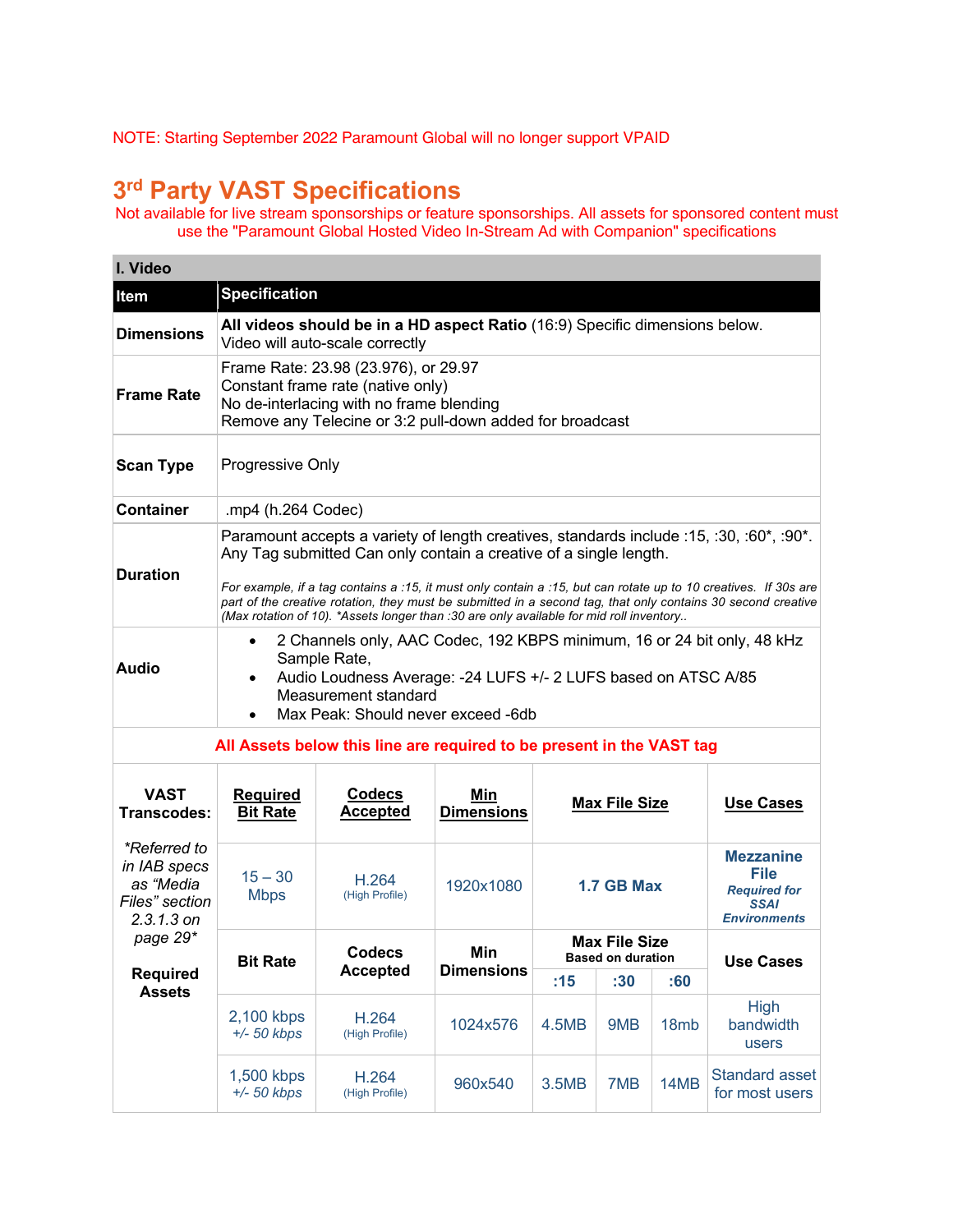NOTE: Starting September 2022 Paramount Global will no longer support VPAID

## **3rd Party VAST Specifications**

Not available for live stream sponsorships or feature sponsorships. All assets for sponsored content must use the "Paramount Global Hosted Video In-Stream Ad with Companion" specifications

| I. Video                                                                    |                                                                                                                                                                                                                                                                                                                                                                                                                                                                                             |                                  |                          |                                                  |                      |                                                                |                                         |
|-----------------------------------------------------------------------------|---------------------------------------------------------------------------------------------------------------------------------------------------------------------------------------------------------------------------------------------------------------------------------------------------------------------------------------------------------------------------------------------------------------------------------------------------------------------------------------------|----------------------------------|--------------------------|--------------------------------------------------|----------------------|----------------------------------------------------------------|-----------------------------------------|
| Item                                                                        | <b>Specification</b>                                                                                                                                                                                                                                                                                                                                                                                                                                                                        |                                  |                          |                                                  |                      |                                                                |                                         |
| <b>Dimensions</b>                                                           | All videos should be in a HD aspect Ratio (16:9) Specific dimensions below.<br>Video will auto-scale correctly                                                                                                                                                                                                                                                                                                                                                                              |                                  |                          |                                                  |                      |                                                                |                                         |
| <b>Frame Rate</b>                                                           | Frame Rate: 23.98 (23.976), or 29.97<br>Constant frame rate (native only)<br>No de-interlacing with no frame blending<br>Remove any Telecine or 3:2 pull-down added for broadcast                                                                                                                                                                                                                                                                                                           |                                  |                          |                                                  |                      |                                                                |                                         |
| <b>Scan Type</b>                                                            | Progressive Only                                                                                                                                                                                                                                                                                                                                                                                                                                                                            |                                  |                          |                                                  |                      |                                                                |                                         |
| <b>Container</b>                                                            | .mp4 (h.264 Codec)                                                                                                                                                                                                                                                                                                                                                                                                                                                                          |                                  |                          |                                                  |                      |                                                                |                                         |
| <b>Duration</b>                                                             | Paramount accepts a variety of length creatives, standards include :15, :30, :60*, :90*.<br>Any Tag submitted Can only contain a creative of a single length.<br>For example, if a tag contains a :15, it must only contain a :15, but can rotate up to 10 creatives. If 30s are<br>part of the creative rotation, they must be submitted in a second tag, that only contains 30 second creative<br>(Max rotation of 10). *Assets longer than :30 are only available for mid roll inventory |                                  |                          |                                                  |                      |                                                                |                                         |
| <b>Audio</b>                                                                | 2 Channels only, AAC Codec, 192 KBPS minimum, 16 or 24 bit only, 48 kHz<br>Sample Rate,<br>Audio Loudness Average: -24 LUFS +/- 2 LUFS based on ATSC A/85<br>Measurement standard<br>Max Peak: Should never exceed -6db                                                                                                                                                                                                                                                                     |                                  |                          |                                                  |                      |                                                                |                                         |
| All Assets below this line are required to be present in the VAST tag       |                                                                                                                                                                                                                                                                                                                                                                                                                                                                                             |                                  |                          |                                                  |                      |                                                                |                                         |
| <b>VAST</b><br>Transcodes:                                                  | <b>Required</b><br><b>Bit Rate</b>                                                                                                                                                                                                                                                                                                                                                                                                                                                          | <b>Codecs</b><br><b>Accepted</b> | Min<br><b>Dimensions</b> |                                                  | <b>Max File Size</b> |                                                                | <b>Use Cases</b>                        |
| *Referred to<br>in IAB specs<br>as "Media<br>Files" section<br>$2.3.1.3$ on | $15 - 30$<br><b>Mbps</b>                                                                                                                                                                                                                                                                                                                                                                                                                                                                    | H.264<br>(High Profile)          | 1920x1080                | File<br>1.7 GB Max<br><b>SSAI</b>                |                      | <b>Mezzanine</b><br><b>Required for</b><br><b>Environments</b> |                                         |
| page 29*<br><b>Required</b>                                                 | <b>Bit Rate</b>                                                                                                                                                                                                                                                                                                                                                                                                                                                                             | <b>Codecs</b><br><b>Accepted</b> | Min<br><b>Dimensions</b> | <b>Max File Size</b><br><b>Based on duration</b> |                      | <b>Use Cases</b>                                               |                                         |
| <b>Assets</b>                                                               | 2,100 kbps<br>$+/- 50$ kbps                                                                                                                                                                                                                                                                                                                                                                                                                                                                 | H.264<br>(High Profile)          | 1024x576                 | :15<br>4.5MB                                     | :30<br>9MB           | :60<br>18mb                                                    | <b>High</b><br>bandwidth<br>users       |
|                                                                             | 1,500 kbps<br>$+/- 50$ kbps                                                                                                                                                                                                                                                                                                                                                                                                                                                                 | H.264<br>(High Profile)          | 960x540                  | 3.5MB                                            | 7MB                  | 14MB                                                           | <b>Standard asset</b><br>for most users |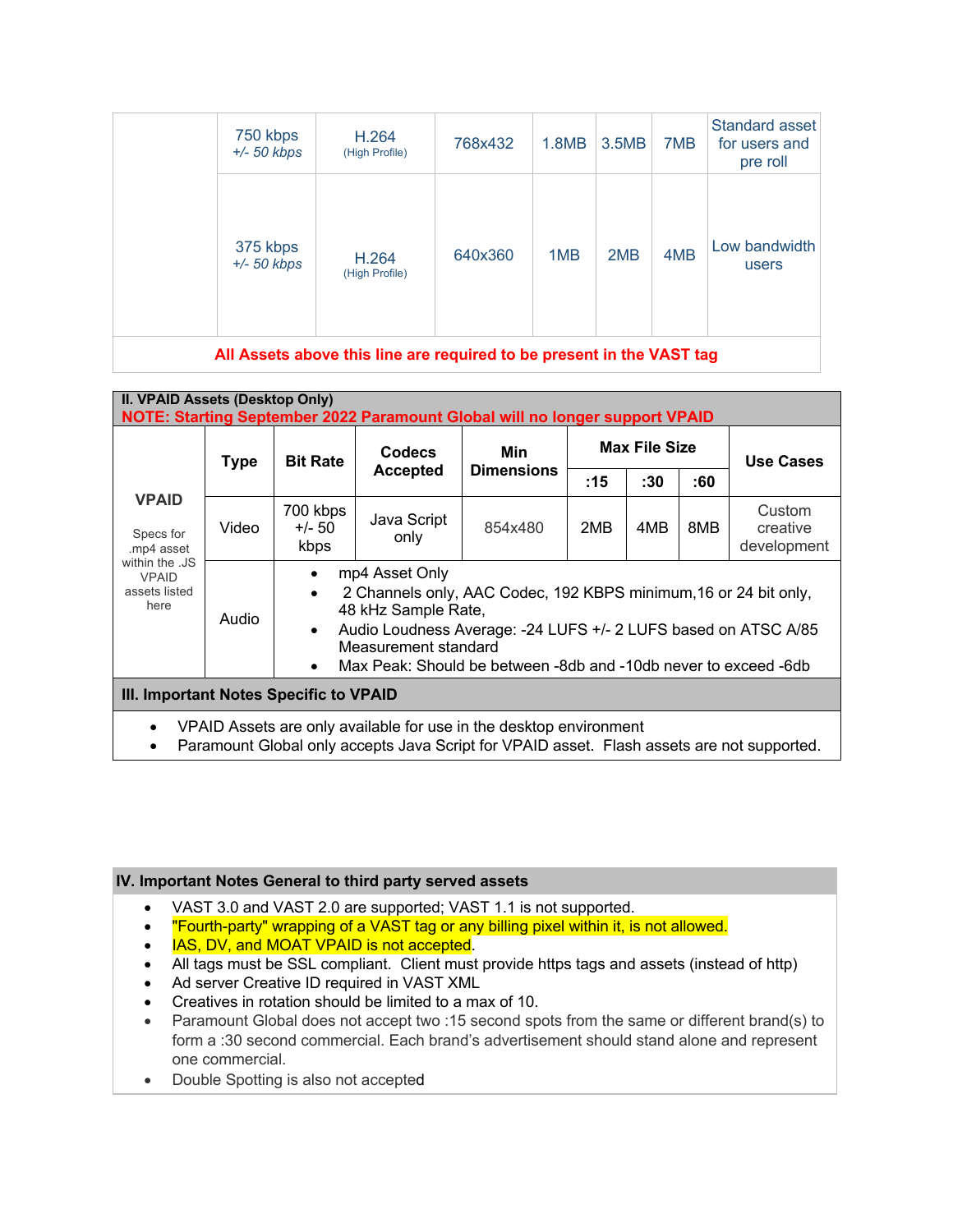| 750 kbps<br>$+/- 50$ kbps | H.264<br>(High Profile) | 768x432 | 1.8MB | 3.5MB | 7MB | Standard asset<br>for users and<br>pre roll |
|---------------------------|-------------------------|---------|-------|-------|-----|---------------------------------------------|
| 375 kbps<br>$+/- 50$ kbps | H.264<br>(High Profile) | 640x360 | 1MB   | 2MB   | 4MB | Low bandwidth<br>users                      |

**All Assets above this line are required to be present in the VAST tag**

| II. VPAID Assets (Desktop Only)<br>NOTE: Starting September 2022 Paramount Global will no longer support VPAID                                                   |              |                                                                                                                                                                                                                                                                                                                            |                                                       |         |     |                      |     |                                   |
|------------------------------------------------------------------------------------------------------------------------------------------------------------------|--------------|----------------------------------------------------------------------------------------------------------------------------------------------------------------------------------------------------------------------------------------------------------------------------------------------------------------------------|-------------------------------------------------------|---------|-----|----------------------|-----|-----------------------------------|
|                                                                                                                                                                  | <b>Type</b>  | <b>Bit Rate</b>                                                                                                                                                                                                                                                                                                            | Codecs<br>Min<br><b>Dimensions</b><br><b>Accepted</b> |         |     | <b>Max File Size</b> |     | <b>Use Cases</b>                  |
|                                                                                                                                                                  |              |                                                                                                                                                                                                                                                                                                                            |                                                       |         | :15 | :30                  | :60 |                                   |
| <b>VPAID</b><br>Specs for<br>.mp4 asset                                                                                                                          | Video        | 700 kbps<br>+/- 50<br>kbps                                                                                                                                                                                                                                                                                                 | Java Script<br>only                                   | 854x480 | 2MB | 4MB                  | 8MB | Custom<br>creative<br>development |
| within the .JS<br><b>VPAID</b><br>assets listed<br>here                                                                                                          | <b>Audio</b> | mp4 Asset Only<br>$\bullet$<br>2 Channels only, AAC Codec, 192 KBPS minimum, 16 or 24 bit only,<br>$\bullet$<br>48 kHz Sample Rate,<br>Audio Loudness Average: -24 LUFS +/- 2 LUFS based on ATSC A/85<br>$\bullet$<br>Measurement standard<br>Max Peak: Should be between -8db and -10db never to exceed -6db<br>$\bullet$ |                                                       |         |     |                      |     |                                   |
| III. Important Notes Specific to VPAID                                                                                                                           |              |                                                                                                                                                                                                                                                                                                                            |                                                       |         |     |                      |     |                                   |
| VPAID Assets are only available for use in the desktop environment<br>Paramount Global only accepts Java Script for VPAID asset. Flash assets are not supported. |              |                                                                                                                                                                                                                                                                                                                            |                                                       |         |     |                      |     |                                   |

## **IV. Important Notes General to third party served assets**

- VAST 3.0 and VAST 2.0 are supported; VAST 1.1 is not supported.
- The urth-party" wrapping of a VAST tag or any billing pixel within it, is not allowed.
- **IAS, DV, and MOAT VPAID is not accepted.**
- All tags must be SSL compliant. Client must provide https tags and assets (instead of http)
- Ad server Creative ID required in VAST XML
- Creatives in rotation should be limited to a max of 10.
- Paramount Global does not accept two :15 second spots from the same or different brand(s) to form a :30 second commercial. Each brand's advertisement should stand alone and represent one commercial.
- Double Spotting is also not accepted